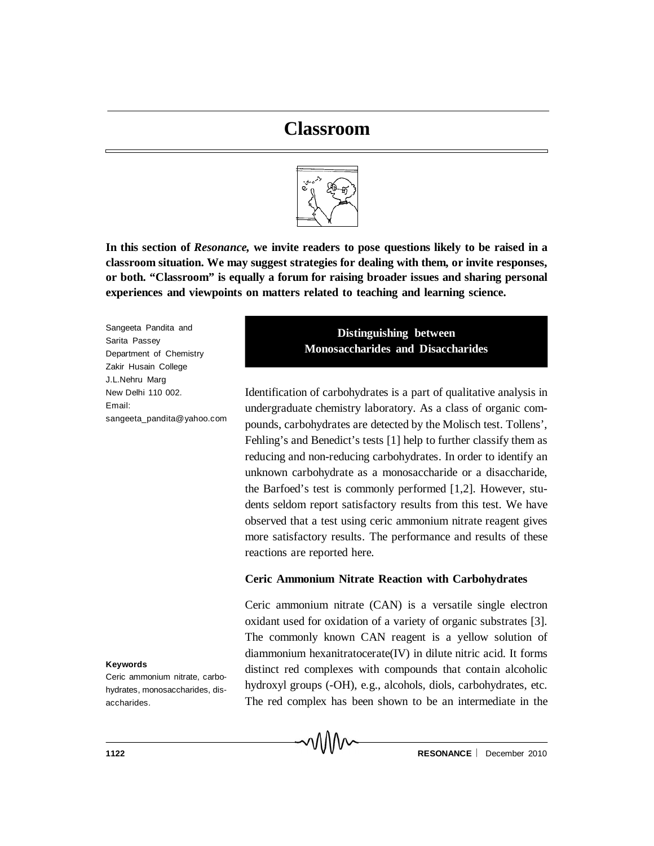# **Classroom**



**In this section of** *Resonance,* **we invite readers to pose questions likely to be raised in a classroom situation. We may suggest strategies for dealing with them, or invite responses, or both. "Classroom" is equally a forum for raising broader issues and sharing personal experiences and viewpoints on matters related to teaching and learning science.**

Sangeeta Pandita and Sarita Passey Department of Chemistry Zakir Husain College J.L.Nehru Marg New Delhi 110 002. Email: sangeeta\_pandita@yahoo.com

#### **Keywords**

Ceric ammonium nitrate, carbohydrates, monosaccharides, disaccharides.

**Distinguishing between Monosaccharides and Disaccharides**

Identification of carbohydrates is a part of qualitative analysis in undergraduate chemistry laboratory. As a class of organic compounds, carbohydrates are detected by the Molisch test. Tollens', Fehling's and Benedict's tests [1] help to further classify them as reducing and non-reducing carbohydrates. In order to identify an unknown carbohydrate as a monosaccharide or a disaccharide, the Barfoed's test is commonly performed [1,2]. However, students seldom report satisfactory results from this test. We have observed that a test using ceric ammonium nitrate reagent gives more satisfactory results. The performance and results of these reactions are reported here.

## **Ceric Ammonium Nitrate Reaction with Carbohydrates**

Ceric ammonium nitrate (CAN) is a versatile single electron oxidant used for oxidation of a variety of organic substrates [3]. The commonly known CAN reagent is a yellow solution of diammonium hexanitratocerate(IV) in dilute nitric acid. It forms distinct red complexes with compounds that contain alcoholic hydroxyl groups (-OH), e.g., alcohols, diols, carbohydrates, etc. The red complex has been shown to be an intermediate in the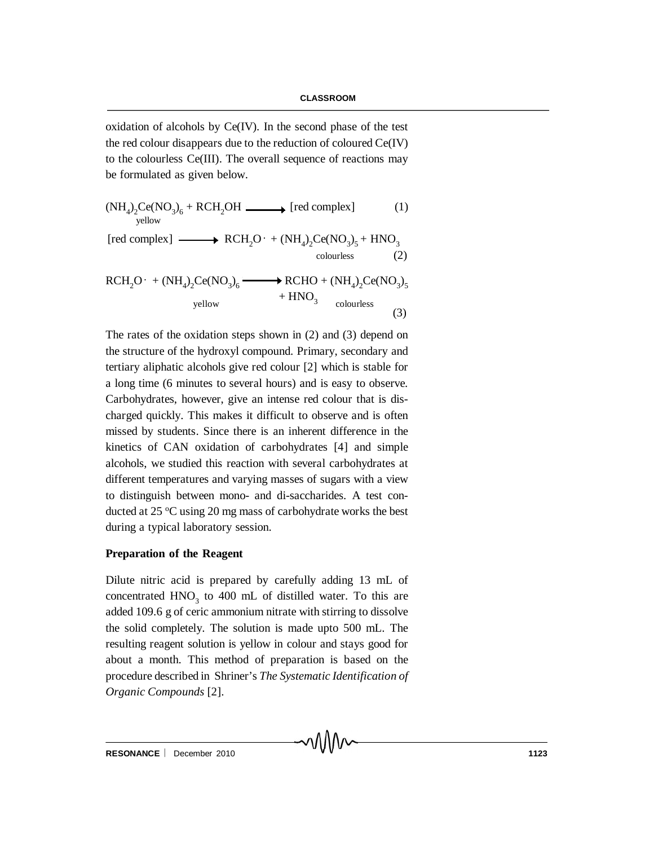oxidation of alcohols by Ce(IV). In the second phase of the test the red colour disappears due to the reduction of coloured Ce(IV) to the colourless Ce(III). The overall sequence of reactions may be formulated as given below.

$$
(NH4)2Ce(NO3)6 + RCH2OH \longrightarrow [red complex] \tag{1}
$$

[red complex]  $\longrightarrow \text{RCH}_2\text{O}^+ + (\text{NH}_4)_2\text{Ce}(\text{NO}_3)_5 + \text{HNO}_3$ colourless (2)

$$
RCH2O+ + (NH4)2 Ce(NO3)6 \n+ HNO3 \n- 6000100
$$
\n
$$
+ HNO3 \n- 6000100
$$
\n(3)

The rates of the oxidation steps shown in (2) and (3) depend on the structure of the hydroxyl compound. Primary, secondary and tertiary aliphatic alcohols give red colour [2] which is stable for a long time (6 minutes to several hours) and is easy to observe. Carbohydrates, however, give an intense red colour that is discharged quickly. This makes it difficult to observe and is often missed by students. Since there is an inherent difference in the kinetics of CAN oxidation of carbohydrates [4] and simple alcohols, we studied this reaction with several carbohydrates at different temperatures and varying masses of sugars with a view to distinguish between mono- and di-saccharides. A test conducted at 25 °C using 20 mg mass of carbohydrate works the best during a typical laboratory session.

#### **Preparation of the Reagent**

Dilute nitric acid is prepared by carefully adding 13 mL of concentrated  $HNO<sub>3</sub>$  to 400 mL of distilled water. To this are added 109.6 g of ceric ammonium nitrate with stirring to dissolve the solid completely. The solution is made upto 500 mL. The resulting reagent solution is yellow in colour and stays good for about a month. This method of preparation is based on the procedure described in Shriner's *The Systematic Identification of Organic Compounds* [2].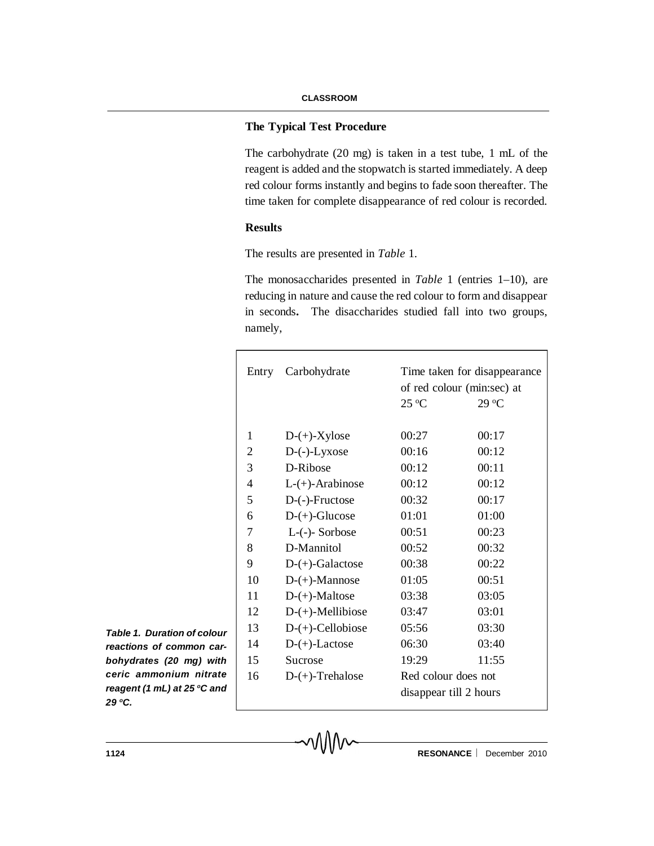## **The Typical Test Procedure**

The carbohydrate (20 mg) is taken in a test tube, 1 mL of the reagent is added and the stopwatch is started immediately. A deep red colour forms instantly and begins to fade soon thereafter. The time taken for complete disappearance of red colour is recorded.

## **Results**

The results are presented in *Table* 1.

The monosaccharides presented in *Table* 1 (entries 1–10), are reducing in nature and cause the red colour to form and disappear in seconds**.** The disaccharides studied fall into two groups, namely,

| Entry  | Carbohydrate                        | Time taken for disappearance<br>of red colour (min:sec) at |                |
|--------|-------------------------------------|------------------------------------------------------------|----------------|
|        |                                     | $25^{\circ}$ C                                             | 29 °C          |
| 1      | $D-(+)$ -Xylose                     | 00:27                                                      | 00:17          |
| 2<br>3 | $D$ - $(-)$ - $Lyx$ ose<br>D-Ribose | 00:16<br>00:12                                             | 00:12<br>00:11 |
| 4      | $L-(+)$ -Arabinose                  | 00:12                                                      | 00:12          |
| 5      | $D$ -(-)- $Fructose$                | 00:32                                                      | 00:17          |
| 6      | $D-(+)$ -Glucose                    | 01:01                                                      | 01:00          |
| 7      | $L$ - $(-)$ - Sorbose               | 00:51                                                      | 00:23          |
| 8      | D-Mannitol                          | 00:52                                                      | 00:32          |
| 9      | $D-(+)$ -Galactose                  | 00:38                                                      | 00:22          |
| 10     | $D-(+)$ -Mannose                    | 01:05                                                      | 00:51          |
| 11     | $D-(+)$ -Maltose                    | 03:38                                                      | 03:05          |
| 12     | $D-(+)$ -Mellibiose                 | 03:47                                                      | 03:01          |
| 13     | $D-(+)$ -Cellobiose                 | 05:56                                                      | 03:30          |
| 14     | $D-(+)$ -Lactose                    | 06:30                                                      | 03:40          |
| 15     | Sucrose                             | 19:29                                                      | 11:55          |
| 16     | $D-(+)$ -Trehalose                  | Red colour does not<br>disappear till 2 hours              |                |

*Table 1. Duration of colour reactions of common carbohydrates (20 mg) with ceric ammonium nitrate reagent (1 mL) at 25 <sup>o</sup>C and 29 <sup>o</sup>C.*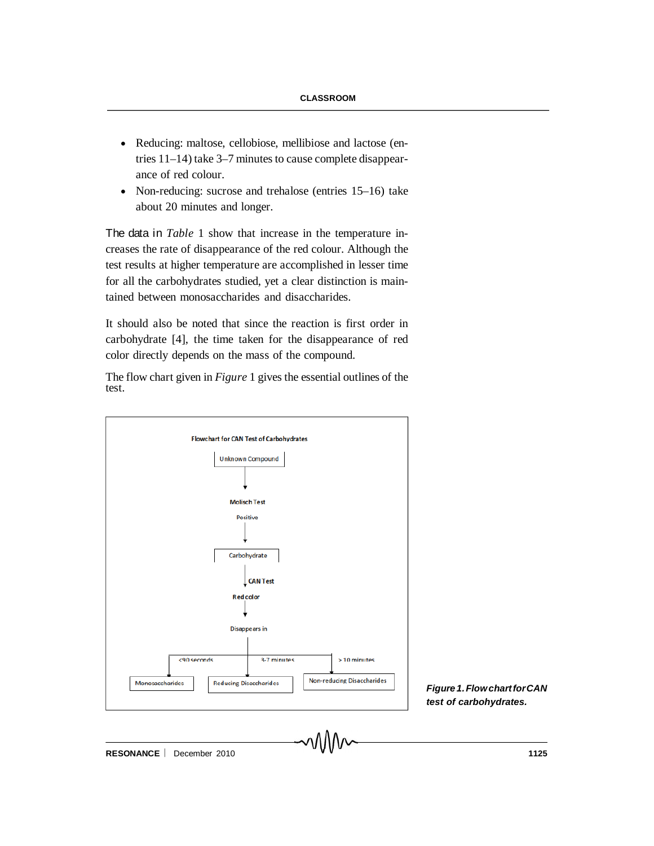- Reducing: maltose, cellobiose, mellibiose and lactose (entries 11–14) take 3–7 minutes to cause complete disappearance of red colour.
- Non-reducing: sucrose and trehalose (entries 15–16) take about 20 minutes and longer.

The data in *Table* 1 show that increase in the temperature increases the rate of disappearance of the red colour. Although the test results at higher temperature are accomplished in lesser time for all the carbohydrates studied, yet a clear distinction is maintained between monosaccharides and disaccharides.

It should also be noted that since the reaction is first order in carbohydrate [4], the time taken for the disappearance of red color directly depends on the mass of the compound.

The flow chart given in *Figure* 1 gives the essential outlines of the test.



*Figure 1.Flow chartforCAN test of carbohydrates.*